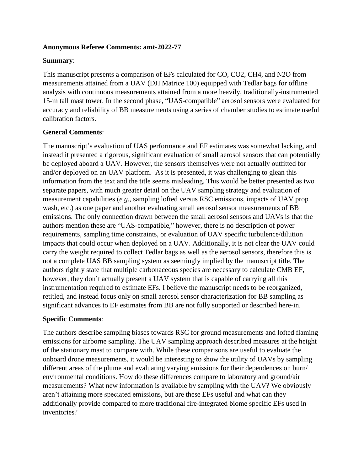### **Anonymous Referee Comments: amt-2022-77**

### **Summary**:

This manuscript presents a comparison of EFs calculated for CO, CO2, CH4, and N2O from measurements attained from a UAV (DJI Matrice 100) equipped with Tedlar bags for offline analysis with continuous measurements attained from a more heavily, traditionally-instrumented 15-m tall mast tower. In the second phase, "UAS-compatible" aerosol sensors were evaluated for accuracy and reliability of BB measurements using a series of chamber studies to estimate useful calibration factors.

# **General Comments**:

The manuscript's evaluation of UAS performance and EF estimates was somewhat lacking, and instead it presented a rigorous, significant evaluation of small aerosol sensors that can potentially be deployed aboard a UAV. However, the sensors themselves were not actually outfitted for and/or deployed on an UAV platform. As it is presented, it was challenging to glean this information from the text and the title seems misleading. This would be better presented as two separate papers, with much greater detail on the UAV sampling strategy and evaluation of measurement capabilities (*e.g.*, sampling lofted versus RSC emissions, impacts of UAV prop wash, etc.) as one paper and another evaluating small aerosol sensor measurements of BB emissions. The only connection drawn between the small aerosol sensors and UAVs is that the authors mention these are "UAS-compatible," however, there is no description of power requirements, sampling time constraints, or evaluation of UAV specific turbulence/dilution impacts that could occur when deployed on a UAV. Additionally, it is not clear the UAV could carry the weight required to collect Tedlar bags as well as the aerosol sensors, therefore this is not a complete UAS BB sampling system as seemingly implied by the manuscript title. The authors rightly state that multiple carbonaceous species are necessary to calculate CMB EF, however, they don't actually present a UAV system that is capable of carrying all this instrumentation required to estimate EFs. I believe the manuscript needs to be reorganized, retitled, and instead focus only on small aerosol sensor characterization for BB sampling as significant advances to EF estimates from BB are not fully supported or described here-in.

# **Specific Comments**:

The authors describe sampling biases towards RSC for ground measurements and lofted flaming emissions for airborne sampling. The UAV sampling approach described measures at the height of the stationary mast to compare with. While these comparisons are useful to evaluate the onboard drone measurements, it would be interesting to show the utility of UAVs by sampling different areas of the plume and evaluating varying emissions for their dependences on burn/ environmental conditions. How do these differences compare to laboratory and ground/air measurements? What new information is available by sampling with the UAV? We obviously aren't attaining more speciated emissions, but are these EFs useful and what can they additionally provide compared to more traditional fire-integrated biome specific EFs used in inventories?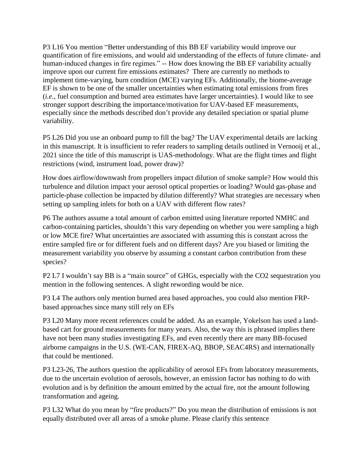P3 L16 You mention "Better understanding of this BB EF variability would improve our quantification of fire emissions, and would aid understanding of the effects of future climate- and human-induced changes in fire regimes." -- How does knowing the BB EF variability actually improve upon our current fire emissions estimates? There are currently no methods to implement time-varying, burn condition (MCE) varying EFs. Additionally, the biome-average EF is shown to be one of the smaller uncertainties when estimating total emissions from fires (*i.e.*, fuel consumption and burned area estimates have larger uncertainties). I would like to see stronger support describing the importance/motivation for UAV-based EF measurements, especially since the methods described don't provide any detailed speciation or spatial plume variability.

P5 L26 Did you use an onboard pump to fill the bag? The UAV experimental details are lacking in this manuscript. It is insufficient to refer readers to sampling details outlined in Vernooij et al., 2021 since the title of this manuscript is UAS-methodology. What are the flight times and flight restrictions (wind, instrument load, power draw)?

How does airflow/downwash from propellers impact dilution of smoke sample? How would this turbulence and dilution impact your aerosol optical properties or loading? Would gas-phase and particle-phase collection be impacted by dilution differently? What strategies are necessary when setting up sampling inlets for both on a UAV with different flow rates?

P6 The authors assume a total amount of carbon emitted using literature reported NMHC and carbon-containing particles, shouldn't this vary depending on whether you were sampling a high or low MCE fire? What uncertainties are associated with assuming this is constant across the entire sampled fire or for different fuels and on different days? Are you biased or limiting the measurement variability you observe by assuming a constant carbon contribution from these species?

P2 L7 I wouldn't say BB is a "main source" of GHGs, especially with the CO2 sequestration you mention in the following sentences. A slight rewording would be nice.

P3 L4 The authors only mention burned area based approaches, you could also mention FRPbased approaches since many still rely on EFs

P3 L20 Many more recent references could be added. As an example, Yokelson has used a landbased cart for ground measurements for many years. Also, the way this is phrased implies there have not been many studies investigating EFs, and even recently there are many BB-focused airborne campaigns in the U.S. (WE-CAN, FIREX-AQ, BBOP, SEAC4RS) and internationally that could be mentioned.

P3 L23-26, The authors question the applicability of aerosol EFs from laboratory measurements, due to the uncertain evolution of aerosols, however, an emission factor has nothing to do with evolution and is by definition the amount emitted by the actual fire, not the amount following transformation and ageing.

P3 L32 What do you mean by "fire products?" Do you mean the distribution of emissions is not equally distributed over all areas of a smoke plume. Please clarify this sentence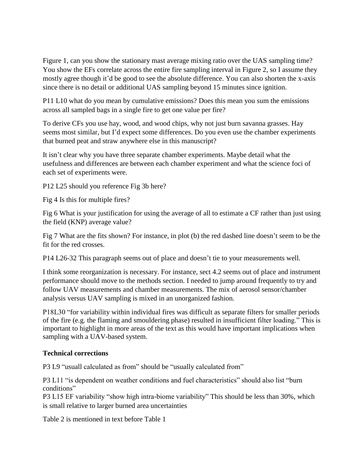Figure 1, can you show the stationary mast average mixing ratio over the UAS sampling time? You show the EFs correlate across the entire fire sampling interval in Figure 2, so I assume they mostly agree though it'd be good to see the absolute difference. You can also shorten the x-axis since there is no detail or additional UAS sampling beyond 15 minutes since ignition.

P11 L10 what do you mean by cumulative emissions? Does this mean you sum the emissions across all sampled bags in a single fire to get one value per fire?

To derive CFs you use hay, wood, and wood chips, why not just burn savanna grasses. Hay seems most similar, but I'd expect some differences. Do you even use the chamber experiments that burned peat and straw anywhere else in this manuscript?

It isn't clear why you have three separate chamber experiments. Maybe detail what the usefulness and differences are between each chamber experiment and what the science foci of each set of experiments were.

P12 L25 should you reference Fig 3b here?

Fig 4 Is this for multiple fires?

Fig 6 What is your justification for using the average of all to estimate a CF rather than just using the field (KNP) average value?

Fig 7 What are the fits shown? For instance, in plot (b) the red dashed line doesn't seem to be the fit for the red crosses.

P14 L26-32 This paragraph seems out of place and doesn't tie to your measurements well.

I think some reorganization is necessary. For instance, sect 4.2 seems out of place and instrument performance should move to the methods section. I needed to jump around frequently to try and follow UAV measurements and chamber measurements. The mix of aerosol sensor/chamber analysis versus UAV sampling is mixed in an unorganized fashion.

P18L30 "for variability within individual fires was difficult as separate filters for smaller periods of the fire (e.g. the flaming and smouldering phase) resulted in insufficient filter loading." This is important to highlight in more areas of the text as this would have important implications when sampling with a UAV-based system.

# **Technical corrections**

P3 L9 "usuall calculated as from" should be "usually calculated from"

P3 L11 "is dependent on weather conditions and fuel characteristics" should also list "burn conditions"

P3 L15 EF variability "show high intra-biome variability" This should be less than 30%, which is small relative to larger burned area uncertainties

Table 2 is mentioned in text before Table 1